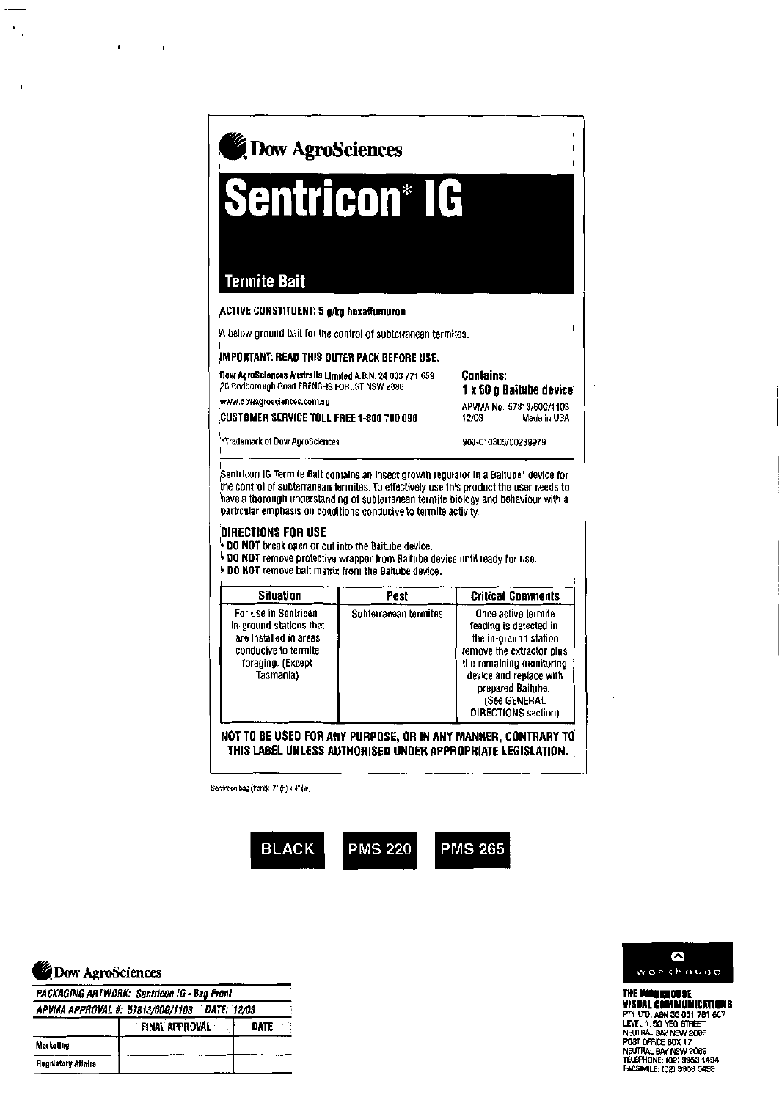| Dow AgroSciences                                                                                       |                                                                         |
|--------------------------------------------------------------------------------------------------------|-------------------------------------------------------------------------|
| <b>Sentricon® IG</b>                                                                                   |                                                                         |
| Termite Bait<br><b>ACTIVE CONSTITUENT: 5 g/kg hexaftumuron</b>                                         |                                                                         |
| A below ground bait for the control of subterranean termites.                                          |                                                                         |
| IMPORTANT: READ THIS OUTER PACK BEFORE USE.                                                            |                                                                         |
| Dow AgroSciences Australia Limited A.B.N. 24 003 771 659<br>20 Redborough Read FRENCHS FOREST NSW 2086 | <b>Contains:</b><br>1 x 60 g Baitube device<br>APVMA No: 57813/60G/1103 |
| www.dowagrosciences.com.au<br><b>CUSTOMER SERVICE TOLL FREE 1-800 700 096</b>                          | 12/03<br>Made in USA 1                                                  |

 $\mathbf{j}$ 

 $\mathsf I$ 

 $\mathbf{I}$ 

j.

## DIRECTIONS FOR USE

- . DO NOT break open or cut into the Baitube device.
- + DO NOT remove protective wrapper from Baitube device until ready for use. **DD NOT remove bait matrix from the Baitube device.**
- 

| Situation                                                                                                                           | <b>Pest</b>           | <b>Critical Comments</b>                                                                                                                                                                                                      |
|-------------------------------------------------------------------------------------------------------------------------------------|-----------------------|-------------------------------------------------------------------------------------------------------------------------------------------------------------------------------------------------------------------------------|
| For use in Sentricon<br>In-ground stations that<br>are installed in areas<br>conducive to termite<br>foraging. (Except<br>Tasmania) | Subterranean termites | Once active termite<br>feeding is detected in<br>the in-ground station<br>remove the extractor plus<br>the remaining monitoring<br>device and replace with<br>prepared Baitube.<br>(See GENERAL<br><b>DIRECTIONS</b> section) |

NOT TO BE USED FOR ANY PURPOSE, OR IN ANY MANNER, CONTRARY TO THIS LABEL UNLESS AUTHORISED UNDER APPROPRIATE LEGISLATION.

Sephron bag (front): 7" (h) x 4" (w)





 $\epsilon$ 

 $\cdot$ 

 $\mathbf{r}$ 

**PACKAGING ARTWORK: Sentricon IG - Bag Front** 

| DATE: 12/03<br>APVMA APPROVAL #: 57813/00Q/1103 |                       |      |
|-------------------------------------------------|-----------------------|------|
|                                                 | <b>FINAL APPROVAL</b> | nate |
| <b>Markeling</b>                                |                       |      |
| <b>Hegulatory Affairs</b>                       |                       |      |



**THE WORKHOUSE**<br>**WISBAL COMMUNICATIONS**<br>PTV. UTO, ABN 36 051 781 607<br>LEVEL 1, 50 YEO STHEET,<br>NEUTRAL BAY NSW 2088<br>NGUTRAL BAY NSW 2089<br>TELEPHONE: (02) 9853 1494<br>FACSIMILE: (02) 9853 5492<br>FACSIMILE: (02) 9853 5492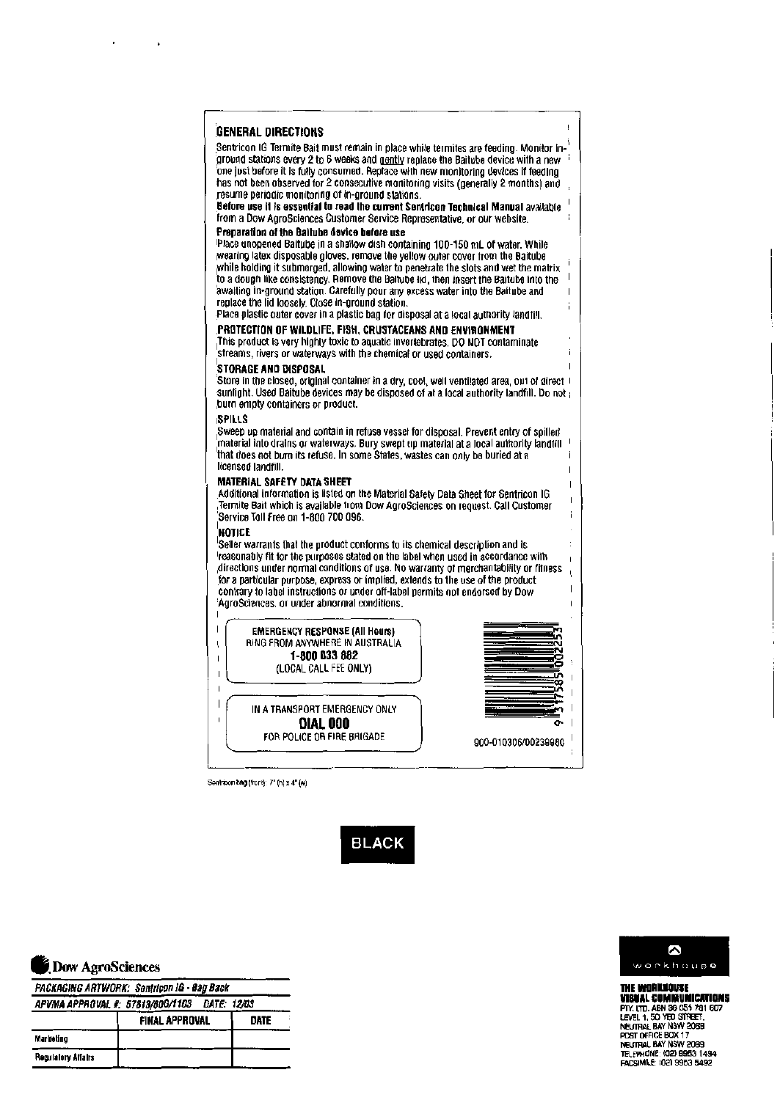| <b>GENERAL DIRECTIONS</b>                                                                                                                                                                                                                                                                                                                                                                                                                                                                                                                                                                                                             |  |
|---------------------------------------------------------------------------------------------------------------------------------------------------------------------------------------------------------------------------------------------------------------------------------------------------------------------------------------------------------------------------------------------------------------------------------------------------------------------------------------------------------------------------------------------------------------------------------------------------------------------------------------|--|
| Sentricon IG Termite Bait must remain in place while termites are feeding. Monitor in-<br>ground stations every 2 to 6 weeks and gently replace the Baitube device with a new<br>one just bafore it is fully consumed. Replace with new monitoring devices if feeding<br>has not been observed for 2 consecutive monitoring visits (generally 2 months) and<br>resume periodic monitoring of in-ground stations.<br>Before use it is essential to read the current Sentricon Technical Manual available<br>from a Dow AgroSciences Customer Service Representative, or our website.                                                   |  |
| Preparation of the Baitube device before use<br>Place unopened Baitube in a shallow dish containing 100-150 mL of water. While<br>wearing latex disposable gloves, remove the yellow outer cover from the Baitube<br>while holding it submerged, allowing water to penetrate the slots and wet the matrix<br>to a dough like consistency. Remove the Baltube lid, then insert the Baitube into the<br>awaiting in-ground station. Carefully pour any excess water into the Baitube and<br>replace the lid loosely. Close in-ground station.<br>Place plastic outer cover in a plastic ban for disposal at a local authority landfill. |  |
| PROTECTION OF WILDLIFE, FISH, CRUSTACEANS AND ENVIRONMENT.<br>This product is very highly toxic to aquatic invertebrates. DO NOT contaminate<br>streams, rivers or waterways with the chemical or used containers.                                                                                                                                                                                                                                                                                                                                                                                                                    |  |
| STORAGE AND DISPOSAL<br>[Store in the closed, original container in a dry, cool, well ventilated area, out of direct if<br>suntight. Used Baitube devices may be disposed of at a local authority landfill. Do not j<br>burn empty containers or product.                                                                                                                                                                                                                                                                                                                                                                             |  |
| <b>ISPILLS</b><br>Sweep up material and contain in refuse vesset for disposal. Prevent entry of spilled,<br>material into drains or waterways. Bury swept up material at a local authority landfill<br>that does not burn its refuse. In some States, wastes can only be buried at a<br>licensed landfill.                                                                                                                                                                                                                                                                                                                            |  |
| <b>MATERIAL SAFETY DATA SHEET</b><br>Additional information is listed on the Material Safety Data Sheet for Sentricon IG<br>Termite Bait which is available from Dow AgroSciences on request. Call Customer<br>'Service Tall Free on 1-800 700 096.                                                                                                                                                                                                                                                                                                                                                                                   |  |
| NOTICE<br>Seller warrants that the product conforms to its chemical description and is<br>reasonably fit for the purposes stated on the label when used in accordance with<br>directions under normal conditions of use. No warranty of merchantability or fitness,<br>for a particular purpose, express or implied, extends to the use of the product<br>contrary to label instructions or under off-label permits not endorsed by Dow<br>'AgroSciences, or under abnormal conditions,                                                                                                                                               |  |
| <b>EMERGENCY RESPONSE (All Hours)</b><br>RING FROM ANYWHERE IN AUSTRALIA<br>Ļ<br>1-800 033 882<br>I<br>(LOCAL CALL FEE ONLY)<br>ı                                                                                                                                                                                                                                                                                                                                                                                                                                                                                                     |  |
| IN A TRANSPORT EMERGENCY ONLY<br><b>DIAL 000</b>                                                                                                                                                                                                                                                                                                                                                                                                                                                                                                                                                                                      |  |
| FOR POLICE OR FIRE BRIGADE                                                                                                                                                                                                                                                                                                                                                                                                                                                                                                                                                                                                            |  |

Sentricon bag (front): 7" (h) x 4" (w)

**BLACK** 



 $\mathbf{r}^{\prime}$ 

 $\sim 10^{11}$  km  $^{-1}$ 

PACKAGING ARTWORK: Sentricon IG - Bag Back APVMA APPROVAL #: 57813/606/1103 DATE: 12/03

| A URA ALLOWER 4, UIDRUGGELIGO<br>.<br>. |                       |      |  |
|-----------------------------------------|-----------------------|------|--|
|                                         | <b>FINAL APPROVAL</b> | DATE |  |
| Marketing                               |                       |      |  |
| <b>Regulatory Affairs</b>               |                       |      |  |



**THE WORKLUGGE<br>
THE WORKLUGGE<br>
PIX. LTD. ABN 36 055 781 607<br>
LEVEL 1, 50 YEO STREET,<br>
NEUTRAL BAY NSW 2089<br>
POST OFFICE BOX 17<br>
POST OFFICE BOX 17<br>
TELEVHONE: (02) 9963 1494<br>
FACSIMILE: (02) 9963 1494<br>
FACSIMILE: (02) 9963**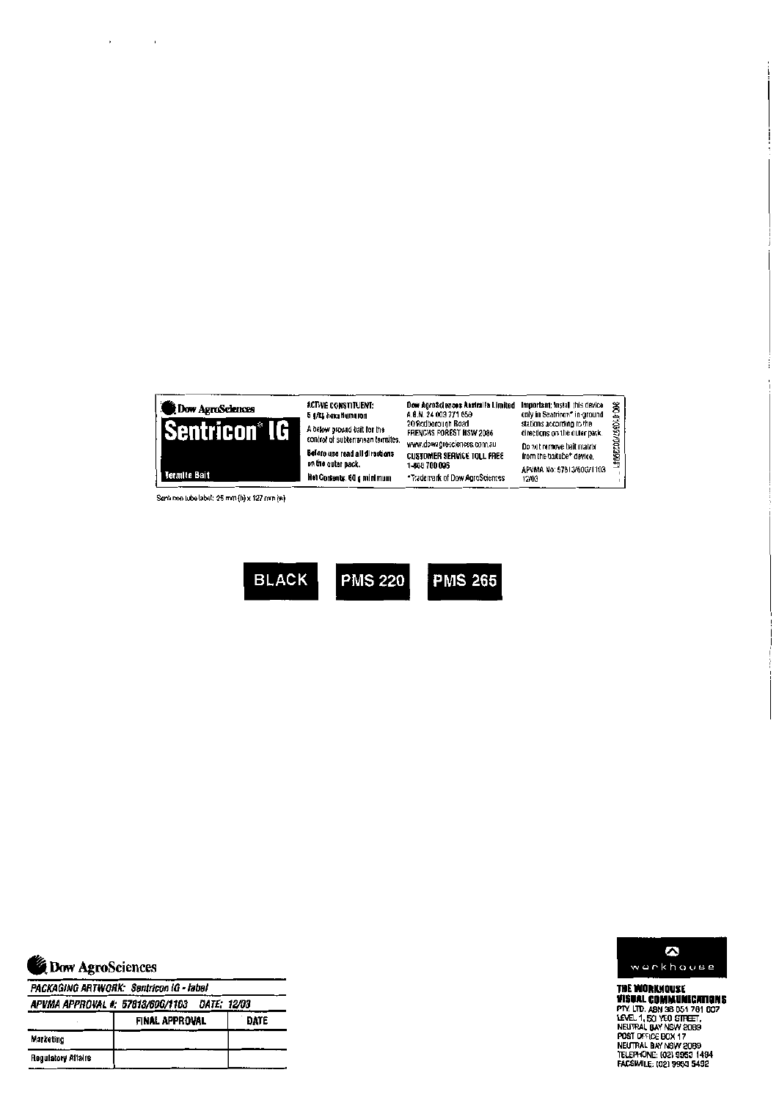





J.

 $\sim$   $\sim$ 

PACKAGING ARTWORK: Sentricon IG - label

|                    | <b>FINAL APPROVAL</b> | DATE |
|--------------------|-----------------------|------|
| Marketing          |                       |      |
| Regulatory Affairs |                       |      |



THE WORKHOUSE **THE WORKWOUSE**<br>**PINS BLOOMMUNICATIONS**<br>PIN: LTD. ABN 38 D51 781 607<br>LEVEL 1, 50 YEO STREET,<br>NEUTRAL BAY NSW 2089<br>NEUTRAL BAY NSW 2089<br>TELEPHONE: (02) 9953 1494<br>FACSIMILE: (02) 9953 1494<br>FACSIMILE: (02) 9953 1494